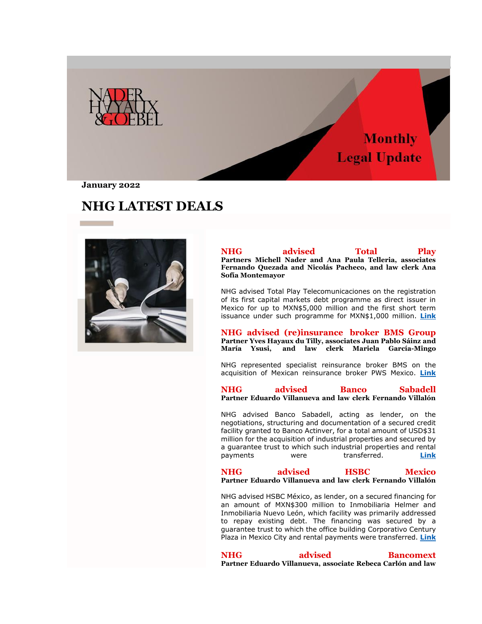

**January 2022**

# **NHG LATEST DEALS**



| <b>NHG</b>       | advised                                                   | Total | <b>Play</b> |
|------------------|-----------------------------------------------------------|-------|-------------|
|                  | Partners Michell Nader and Ana Paula Telleria, associates |       |             |
|                  | Fernando Quezada and Nicolás Pacheco, and law clerk Ana   |       |             |
| Sofía Montemayor |                                                           |       |             |

NHG advised Total Play Telecomunicaciones on the registration of its first capital markets debt programme as direct issuer in Mexico for up to MXN\$5,000 million and the first short term issuance under such programme for MXN\$1,000 million. **[Link](https://nhg335.lt.acemlnb.com/Prod/link-tracker?notrack=1&redirectUrl=aHR0cHMlM0ElMkYlMkZ3d3cubmhnLm14JTJGZW5fZ2IlMkZjYXNlJTJGbmhnLWFkdmlzZWQtdG90YWwtcGxheSUyRg==&sig=CYNTiVfJhnHq35QTk2r3SxfNxtRJ6RhGpwv4tgaaE8Gy&iat=1654802815&a=%7C%7C25487300%7C%7C&account=nhg335%2Eactivehosted%2Ecom&email=sf%2FV9l4ieKNMOZdeVagRzQ%3D%3D&s=ccd1870a579f2011876aca44733daec7&i=154A221A6A1513)**

**NHG advised (re)insurance broker BMS Group Partner Yves Hayaux du Tilly, associates Juan Pablo Sáinz and María Ysusi, and law clerk Mariela García-Mingo**

NHG represented specialist reinsurance broker BMS on the acquisition of Mexican reinsurance broker PWS Mexico. **[Link](https://nhg335.lt.acemlnb.com/Prod/link-tracker?notrack=1&redirectUrl=aHR0cHMlM0ElMkYlMkZ3d3cubmhnLm14JTJGZW5fZ2IlMkZjYXNlJTJGbmhnLWFkdmlzZWQtcmVpbnN1cmFuY2UtYnJva2VyLWJtcy1ncm91cCUyRg==&sig=5JT1DRkQxZjWccyYMu8VVWycEFKrrSjRdJZVuBDEv1Xx&iat=1654802815&a=%7C%7C25487300%7C%7C&account=nhg335%2Eactivehosted%2Ecom&email=sf%2FV9l4ieKNMOZdeVagRzQ%3D%3D&s=ccd1870a579f2011876aca44733daec7&i=154A221A6A1514)**

**NHG advised Banco Sabadell Partner Eduardo Villanueva and law clerk Fernando Villalón**

NHG advised Banco Sabadell, acting as lender, on the negotiations, structuring and documentation of a secured credit facility granted to Banco Actinver, for a total amount of USD\$31 million for the acquisition of industrial properties and secured by a guarantee trust to which such industrial properties and rental payments were transferred. **[Link](https://nhg335.lt.acemlnb.com/Prod/link-tracker?notrack=1&redirectUrl=aHR0cHMlM0ElMkYlMkZ3d3cubmhnLm14JTJGZW5fZ2IlMkZjYXNlJTJGbmhnLWFkdmlzZWQtYW5kLXJlcHJlc2VudGVkLWJhbmNvLXNhYmFkZWxsJTJG&sig=8htfefafvtFC9qXGy2sxSfmxvEaqip2AksCSkz23rBwd&iat=1654802815&a=%7C%7C25487300%7C%7C&account=nhg335%2Eactivehosted%2Ecom&email=sf%2FV9l4ieKNMOZdeVagRzQ%3D%3D&s=ccd1870a579f2011876aca44733daec7&i=154A221A6A1515)**

**NHG advised HSBC Mexico Partner Eduardo Villanueva and law clerk Fernando Villalón**

NHG advised HSBC México, as lender, on a secured financing for an amount of MXN\$300 million to Inmobiliaria Helmer and Inmobiliaria Nuevo León, which facility was primarily addressed to repay existing debt. The financing was secured by a guarantee trust to which the office building Corporativo Century Plaza in Mexico City and rental payments were transferred. **[Link](https://nhg335.lt.acemlnb.com/Prod/link-tracker?notrack=1&redirectUrl=aHR0cHMlM0ElMkYlMkZ3d3cubmhnLm14JTJGZW5fZ2IlMkZjYXNlJTJGbmhnLWFkdmlzZWQtaHNiYy1tZXhpY28lMkY=&sig=HD6idGx2mnnPG9qKkMQLp3LBrEokjGkNs5iVUBkXQ4sW&iat=1654802815&a=%7C%7C25487300%7C%7C&account=nhg335%2Eactivehosted%2Ecom&email=sf%2FV9l4ieKNMOZdeVagRzQ%3D%3D&s=ccd1870a579f2011876aca44733daec7&i=154A221A6A1516)**

**NHG advised Bancomext Partner Eduardo Villanueva, associate Rebeca Carlón and law**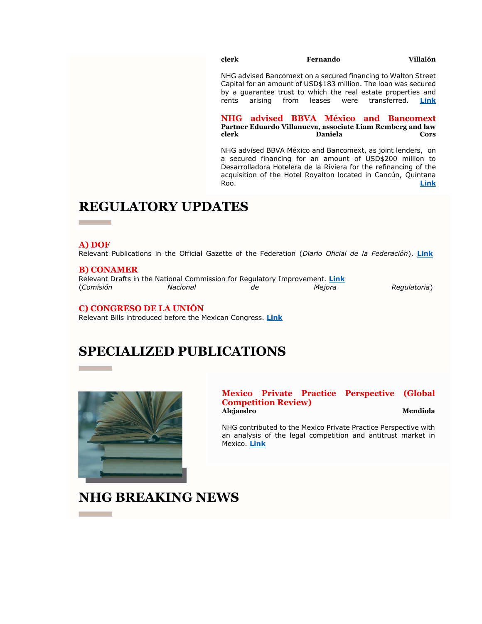### **clerk Fernando Villalón**

NHG advised Bancomext on a secured financing to Walton Street Capital for an amount of USD\$183 million. The loan was secured by a guarantee trust to which the real estate properties and rents arising from leases were transferred. **[Link](https://nhg335.lt.acemlnb.com/Prod/link-tracker?notrack=1&redirectUrl=aHR0cHMlM0ElMkYlMkZ3d3cubmhnLm14JTJGZW5fZ2IlMkZjYXNlJTJGbmhnLWFkdmlzZWQtYmFuY29tZXh0JTJG&sig=3yEaxuZJWQzqeCHyLKFMDngBThNHJFBHzxt7L3yinKua&iat=1654802815&a=%7C%7C25487300%7C%7C&account=nhg335%2Eactivehosted%2Ecom&email=sf%2FV9l4ieKNMOZdeVagRzQ%3D%3D&s=ccd1870a579f2011876aca44733daec7&i=154A221A6A1517)**

**NHG advised BBVA México and Bancomext Partner Eduardo Villanueva, associate Liam Remberg and law**  Daniela Cors

NHG advised BBVA México and Bancomext, as joint lenders, on a secured financing for an amount of USD\$200 million to Desarrolladora Hotelera de la Riviera for the refinancing of the acquisition of the Hotel Royalton located in Cancún, Quintana Roo. **[Link](https://nhg335.lt.acemlnb.com/Prod/link-tracker?notrack=1&redirectUrl=aHR0cHMlM0ElMkYlMkZ3d3cubmhnLm14JTJGZW5fZ2IlMkZjYXNlJTJGbmhnLWFkdmlzZWQtYmJ2YS1tZXhpY28tYW5kLWJhbmNvbWV4dCUyRg==&sig=4tS33M6chY4NrRsorGoDescQ8Zy5zzL8ceDbFQgNNDaN&iat=1654802815&a=%7C%7C25487300%7C%7C&account=nhg335%2Eactivehosted%2Ecom&email=sf%2FV9l4ieKNMOZdeVagRzQ%3D%3D&s=ccd1870a579f2011876aca44733daec7&i=154A221A6A1518)**

# **REGULATORY UPDATES**

### **A) DOF**

Relevant Publications in the Official Gazette of the Federation (*Diario Oficial de la Federación*). **[Link](https://nhg335.lt.acemlnb.com/Prod/link-tracker?notrack=1&redirectUrl=aHR0cHMlM0ElMkYlMkZ3d3cubmhnLm14JTJGd3AtY29udGVudCUyRnVwbG9hZHMlMkYyMDIyJTJGMDElMkZOSEctOTA3NTMtdjZBLUFjdHVhbGl6YWNpb25fTm9ybWF0aXZhXy1fRGljaWVtYnJlXzIwMjEtQS5wZGY=&sig=AfLSXG9ewfrKbFGcw9GPJ2nGUibzRWUtCYMwwnJBD9NN&iat=1654802815&a=%7C%7C25487300%7C%7C&account=nhg335%2Eactivehosted%2Ecom&email=sf%2FV9l4ieKNMOZdeVagRzQ%3D%3D&s=ccd1870a579f2011876aca44733daec7&i=154A221A6A1555)** 

### **B) CONAMER**

Relevant Drafts in the National Commission for Regulatory Improvement. **[Link](https://nhg335.lt.acemlnb.com/Prod/link-tracker?notrack=1&redirectUrl=aHR0cHMlM0ElMkYlMkZ3d3cubmhnLm14JTJGd3AtY29udGVudCUyRnVwbG9hZHMlMkYyMDIyJTJGMDElMkZOSEctOTA3NTMtdjZBLUFjdHVhbGl6YWNpb25fTm9ybWF0aXZhXy1fRGljaWVtYnJlXzIwMjEtQi5wZGY=&sig=FWmqVSCPx4Ada8cU7cZwqPi2fak6JbokbRBgaqdznGtq&iat=1654802815&a=%7C%7C25487300%7C%7C&account=nhg335%2Eactivehosted%2Ecom&email=sf%2FV9l4ieKNMOZdeVagRzQ%3D%3D&s=ccd1870a579f2011876aca44733daec7&i=154A221A6A1556)** (*Comisión Nacional de Mejora Regulatoria*)

## **C) CONGRESO DE LA UNIÓN**

Relevant Bills introduced before the Mexican Congress. **[Link](https://nhg335.lt.acemlnb.com/Prod/link-tracker?notrack=1&redirectUrl=aHR0cHMlM0ElMkYlMkZ3d3cubmhnLm14JTJGd3AtY29udGVudCUyRnVwbG9hZHMlMkYyMDIyJTJGMDElMkZOSEctOTA3NTMtdjZBLUFjdHVhbGl6YWNpb25fTm9ybWF0aXZhXy1fRGljaWVtYnJlXzIwMjEtQy5wZGY=&sig=4eLGhpnpQWQTVG2cs8Na14eTNZRyA43JmHm9W7KZu3H2&iat=1654802815&a=%7C%7C25487300%7C%7C&account=nhg335%2Eactivehosted%2Ecom&email=sf%2FV9l4ieKNMOZdeVagRzQ%3D%3D&s=ccd1870a579f2011876aca44733daec7&i=154A221A6A1557)**

## **SPECIALIZED PUBLICATIONS**



### **Mexico Private Practice Perspective (Global Competition Review) Alejandro Mendiola**

NHG contributed to the Mexico Private Practice Perspective with an analysis of the legal competition and antitrust market in Mexico. **[Link](https://nhg335.lt.acemlnb.com/Prod/link-tracker?notrack=1&redirectUrl=aHR0cHMlM0ElMkYlMkZnbG9iYWxjb21wZXRpdGlvbnJldmlldy5jb20lMkZpbnNpZ2h0JTJGZW5mb3JjZXItaHViJTJGMjAyMSUyRmFydGljbGUlMkZtZXhpY28tcHJpdmF0ZS1wcmFjdGljZS1wZXJzcGVjdGl2ZQ==&sig=6QTQMMYLEV4sTxyuwLJUxN9qFBbzmg9RgHuHr1puDAzg&iat=1654802815&a=%7C%7C25487300%7C%7C&account=nhg335%2Eactivehosted%2Ecom&email=sf%2FV9l4ieKNMOZdeVagRzQ%3D%3D&s=ccd1870a579f2011876aca44733daec7&i=154A221A6A1512)**

# **NHG BREAKING NEWS**